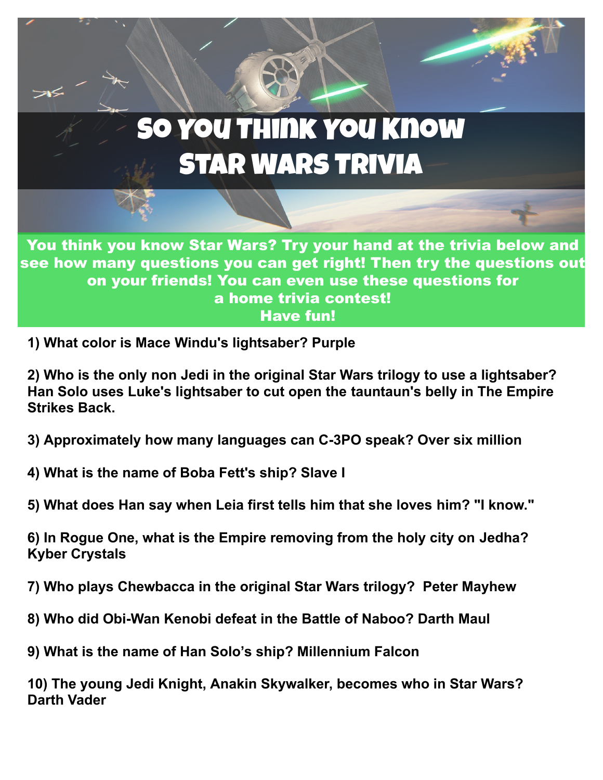## So You Think You Know Star Wars Trivia

You think you know Star Wars? Try your hand at the trivia below and see how many questions you can get right! Then try the questions out on your friends! You can even use these questions for a home trivia contest! Have fun!

**1) What color is Mace Windu's lightsaber? Purple**

 $\geq$ K

**2) Who is the only non Jedi in the original Star Wars trilogy to use a lightsaber? Han Solo uses Luke's lightsaber to cut open the tauntaun's belly in The Empire Strikes Back.**

- **3) Approximately how many languages can C-3PO speak? Over six million**
- **4) What is the name of Boba Fett's ship? Slave I**
- **5) What does Han say when Leia first tells him that she loves him? "I know."**

**6) In Rogue One, what is the Empire removing from the holy city on Jedha? Kyber Crystals**

**7) Who plays Chewbacca in the original Star Wars trilogy? Peter Mayhew**

- **8) Who did Obi-Wan Kenobi defeat in the Battle of Naboo? Darth Maul**
- **9) What is the name of Han Solo's ship? Millennium Falcon**

**10) The young Jedi Knight, Anakin Skywalker, becomes who in Star Wars? Darth Vader**